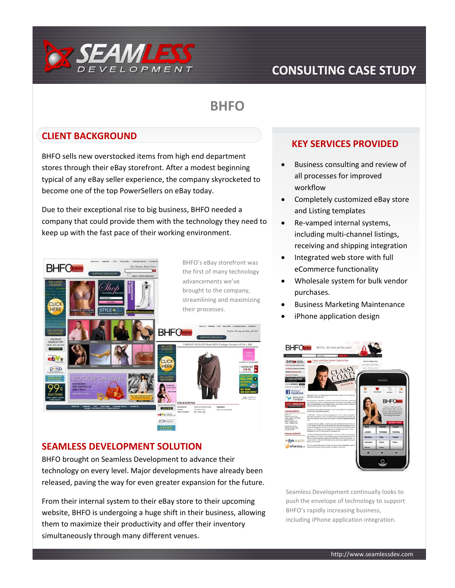

## **CONSULTING CASE STUDY**

# **BHFO**

#### **CLIENT BACKGROUND**

BHFO sells new overstocked items from high end department stores through their eBay storefront. After a modest beginning typical of any eBay seller experience, the company skyrocketed to become one of the top PowerSellers on eBay today.

Due to their exceptional rise to big business, BHFO needed a company that could provide them with the technology they need to keep up with the fast pace of their working environment.



#### **SEAMLESS DEVELOPMENT SOLUTION**

BHFO brought on Seamless Development to advance their technology on every level. Major developments have already been released, paving the way for even greater expansion for the future.

From their internal system to their eBay store to their upcoming website, BHFO is undergoing a huge shift in their business, allowing them to maximize their productivity and offer their inventory simultaneously through many different venues.

#### **KEY SERVICES PROVIDED**

- Business consulting and review of all processes for improved workflow
- Completely customized eBay store and Listing templates
- Re-vamped internal systems, including multi-channel listings, receiving and shipping integration
- Integrated web store with full eCommerce functionality
- Wholesale system for bulk vendor purchases.
- Business Marketing Maintenance
- iPhone application design



Seamless Development continually looks to push the envelope of technology to support BHFO's rapidly increasing business, including iPhone application integration.